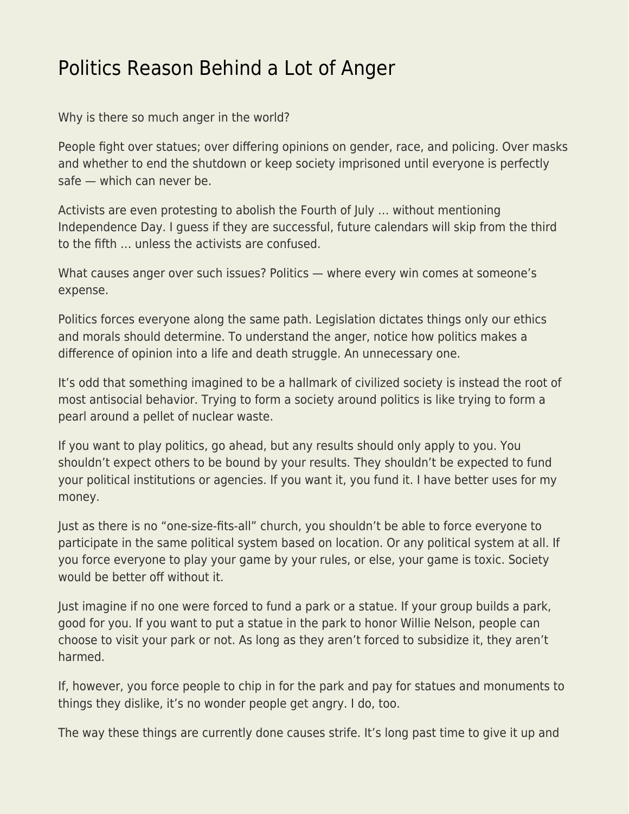## [Politics Reason Behind a Lot of Anger](https://everything-voluntary.com/politics-reason-behind-a-lot-of-anger)

Why is there so much anger in the world?

People fight over statues; over differing opinions on gender, race, and policing. Over masks and whether to end the shutdown or keep society imprisoned until everyone is perfectly safe — which can never be.

Activists are even protesting to abolish the Fourth of July … without mentioning Independence Day. I guess if they are successful, future calendars will skip from the third to the fifth … unless the activists are confused.

What causes anger over such issues? Politics — where every win comes at someone's expense.

Politics forces everyone along the same path. Legislation dictates things only our ethics and morals should determine. To understand the anger, notice how politics makes a difference of opinion into a life and death struggle. An unnecessary one.

It's odd that something imagined to be a hallmark of civilized society is instead the root of most antisocial behavior. Trying to form a society around politics is like trying to form a pearl around a pellet of nuclear waste.

If you want to play politics, go ahead, but any results should only apply to you. You shouldn't expect others to be bound by your results. They shouldn't be expected to fund your political institutions or agencies. If you want it, you fund it. I have better uses for my money.

Just as there is no "one-size-fits-all" church, you shouldn't be able to force everyone to participate in the same political system based on location. Or any political system at all. If you force everyone to play your game by your rules, or else, your game is toxic. Society would be better off without it.

Just imagine if no one were forced to fund a park or a statue. If your group builds a park, good for you. If you want to put a statue in the park to honor Willie Nelson, people can choose to visit your park or not. As long as they aren't forced to subsidize it, they aren't harmed.

If, however, you force people to chip in for the park and pay for statues and monuments to things they dislike, it's no wonder people get angry. I do, too.

The way these things are currently done causes strife. It's long past time to give it up and